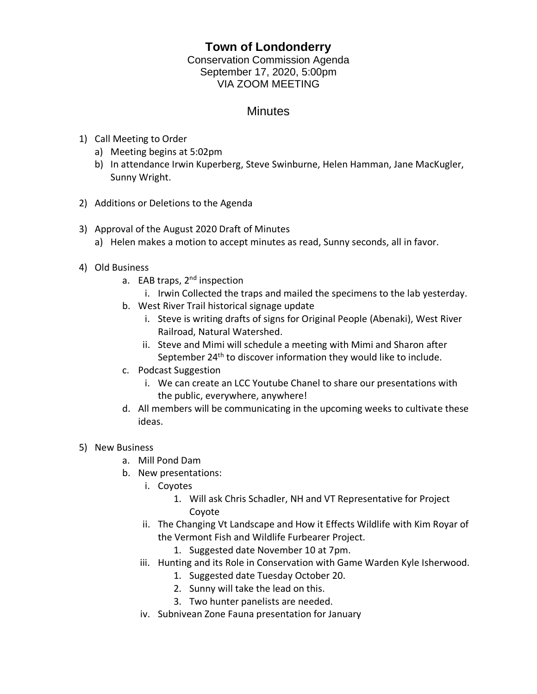## **Town of Londonderry**

Conservation Commission Agenda September 17, 2020, 5:00pm VIA ZOOM MEETING

## **Minutes**

- 1) Call Meeting to Order
	- a) Meeting begins at 5:02pm
	- b) In attendance Irwin Kuperberg, Steve Swinburne, Helen Hamman, Jane MacKugler, Sunny Wright.
- 2) Additions or Deletions to the Agenda
- 3) Approval of the August 2020 Draft of Minutes a) Helen makes a motion to accept minutes as read, Sunny seconds, all in favor.
- 4) Old Business
	- a. EAB traps, 2<sup>nd</sup> inspection
		- i. Irwin Collected the traps and mailed the specimens to the lab yesterday.
	- b. West River Trail historical signage update
		- i. Steve is writing drafts of signs for Original People (Abenaki), West River Railroad, Natural Watershed.
		- ii. Steve and Mimi will schedule a meeting with Mimi and Sharon after September 24<sup>th</sup> to discover information they would like to include.
	- c. Podcast Suggestion
		- i. We can create an LCC Youtube Chanel to share our presentations with the public, everywhere, anywhere!
	- d. All members will be communicating in the upcoming weeks to cultivate these ideas.

## 5) New Business

- a. Mill Pond Dam
- b. New presentations:
	- i. Coyotes
		- 1. Will ask Chris Schadler, NH and VT Representative for Project Coyote
	- ii. The Changing Vt Landscape and How it Effects Wildlife with Kim Royar of the Vermont Fish and Wildlife Furbearer Project.
		- 1. Suggested date November 10 at 7pm.
	- iii. Hunting and its Role in Conservation with Game Warden Kyle Isherwood.
		- 1. Suggested date Tuesday October 20.
		- 2. Sunny will take the lead on this.
		- 3. Two hunter panelists are needed.
	- iv. Subnivean Zone Fauna presentation for January